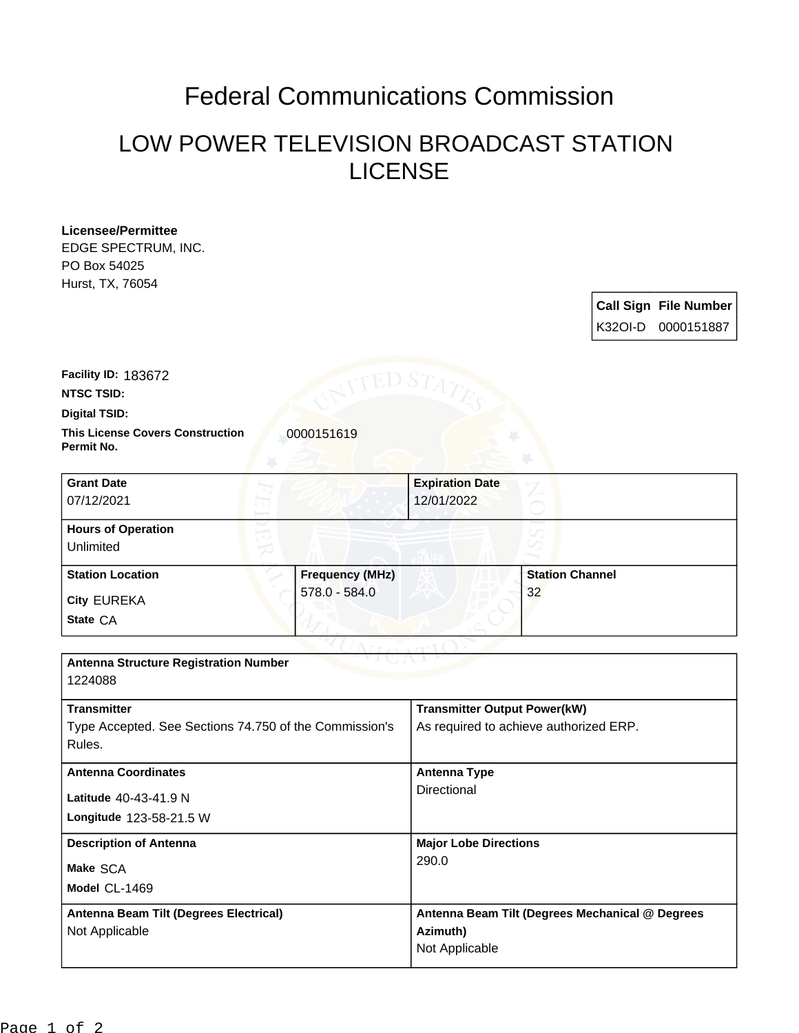## Federal Communications Commission

## LOW POWER TELEVISION BROADCAST STATION LICENSE

**Licensee/Permittee** EDGE SPECTRUM, INC. PO Box 54025 Hurst, TX, 76054

|  | <b>Call Sign File Number</b><br>K32OI-D 0000151887 |
|--|----------------------------------------------------|

**NTSC TSID: Facility ID:** 183672

**Permit No.**

**Digital TSID:**

**This License Covers Construction**  0000151619

| <b>Grant Date</b><br>07/12/2021        |                        | <b>Expiration Date</b><br>12/01/2022 |
|----------------------------------------|------------------------|--------------------------------------|
| <b>Hours of Operation</b><br>Unlimited |                        | ✓                                    |
| <b>Station Location</b>                | <b>Frequency (MHz)</b> | <b>Station Channel</b>               |
| <b>City EUREKA</b>                     | 578.0 - 584.0          | 32                                   |
| State CA                               |                        |                                      |

| <b>Antenna Structure Registration Number</b><br>1224088                                |                                                                               |  |  |  |
|----------------------------------------------------------------------------------------|-------------------------------------------------------------------------------|--|--|--|
| <b>Transmitter</b><br>Type Accepted. See Sections 74.750 of the Commission's<br>Rules. | <b>Transmitter Output Power(kW)</b><br>As required to achieve authorized ERP. |  |  |  |
| <b>Antenna Coordinates</b><br>Latitude 40-43-41.9 N<br>Longitude 123-58-21.5 W         | <b>Antenna Type</b><br>Directional                                            |  |  |  |
| <b>Description of Antenna</b><br>Make SCA<br>Model CL-1469                             | <b>Major Lobe Directions</b><br>290.0                                         |  |  |  |
| Antenna Beam Tilt (Degrees Electrical)<br>Not Applicable                               | Antenna Beam Tilt (Degrees Mechanical @ Degrees<br>Azimuth)<br>Not Applicable |  |  |  |